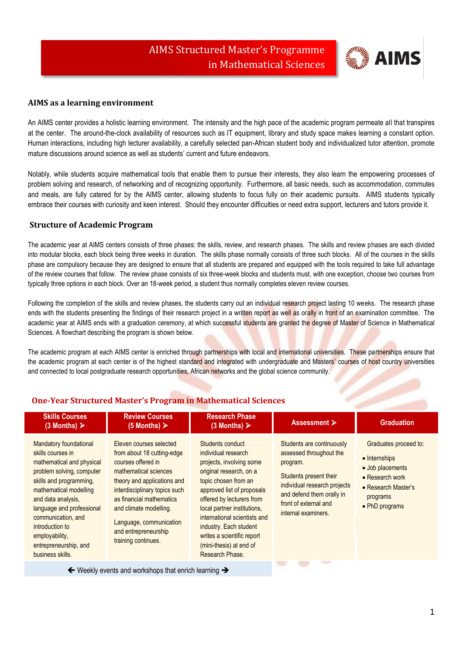

# **AIMS as a learning environment**

An AIMS center provides a holistic learning environment. The intensity and the high pace of the academic program permeate all that transpires at the center. The around-the-clock availability of resources such as IT equipment, library and study space makes learning a constant option. Human interactions, including high lecturer availability, a carefully selected pan-African student body and individualized tutor attention, promote mature discussions around science as well as students' current and future endeavors.

Notably, while students acquire mathematical tools that enable them to pursue their interests, they also learn the empowering processes of problem solving and research, of networking and of recognizing opportunity. Furthermore, all basic needs, such as accommodation, commutes and meals, are fully catered for by the AIMS center, allowing students to focus fully on their academic pursuits. AIMS students typically embrace their courses with curiosity and keen interest. Should they encounter difficulties or need extra support, lecturers and tutors provide it.

## **Structure of Academic Program**

The academic year at AIMS centers consists of three phases: the skills, review, and research phases. The skills and review phases are each divided into modular blocks, each block being three weeks in duration. The skills phase normally consists of three such blocks. All of the courses in the skills phase are compulsory because they are designed to ensure that all students are prepared and equipped with the tools required to take full advantage of the review courses that follow. The review phase consists of six three-week blocks and students must, with one exception, choose two courses from typically three options in each block. Over an 18-week period, a student thus normally completes eleven review courses.

Following the completion of the skills and review phases, the students carry out an individual research project lasting 10 weeks. The research phase ends with the students presenting the findings of their research project in a written report as well as orally in front of an examination committee. The academic year at AIMS ends with a graduation ceremony, at which successful students are granted the degree of Master of Science in Mathematical Sciences. A flowchart describing the program is shown below.

The academic program at each AIMS center is enriched through partnerships with local and international universities. These partnerships ensure that the academic program at each center is of the highest standard and integrated with undergraduate and Masters' courses of host country universities and connected to local postgraduate research opportunities, African networks and the global science community.

| <b>Skills Courses</b><br>$(3$ Months) $\triangleright$                                                                                                                                                                                                                                                                | <b>Review Courses</b><br>(5 Months) $\triangleright$                                                                                                                                                                                                                                                 | <b>Research Phase</b><br>$(3$ Months) $\triangleright$                                                                                                                                                                                                                                                                                                 | Assessment $\triangleright$                                                                                                                                                                             | <b>Graduation</b>                                                                                                                  |
|-----------------------------------------------------------------------------------------------------------------------------------------------------------------------------------------------------------------------------------------------------------------------------------------------------------------------|------------------------------------------------------------------------------------------------------------------------------------------------------------------------------------------------------------------------------------------------------------------------------------------------------|--------------------------------------------------------------------------------------------------------------------------------------------------------------------------------------------------------------------------------------------------------------------------------------------------------------------------------------------------------|---------------------------------------------------------------------------------------------------------------------------------------------------------------------------------------------------------|------------------------------------------------------------------------------------------------------------------------------------|
| Mandatory foundational<br>skills courses in<br>mathematical and physical<br>problem solving, computer<br>skills and programming,<br>mathematical modelling<br>and data analysis,<br>language and professional<br>communication, and<br>introduction to<br>employability,<br>entrepreneurship, and<br>business skills. | Eleven courses selected<br>from about 18 cutting-edge<br>courses offered in<br>mathematical sciences<br>theory and applications and<br>interdisciplinary topics such<br>as financial mathematics<br>and climate modelling.<br>Language, communication<br>and entrepreneurship<br>training continues. | Students conduct<br>individual research<br>projects, involving some<br>original research, on a<br>topic chosen from an<br>approved list of proposals<br>offered by lecturers from<br>local partner institutions,<br>international scientists and<br>industry. Each student<br>writes a scientific report<br>(mini-thesis) at end of<br>Research Phase. | Students are continuously<br>assessed throughout the<br>program.<br>Students present their<br>individual research projects<br>and defend them orally in<br>front of external and<br>internal examiners. | Graduates proceed to:<br>• Internships<br>• Job placements<br>• Research work<br>• Research Master's<br>programs<br>• PhD programs |
|                                                                                                                                                                                                                                                                                                                       |                                                                                                                                                                                                                                                                                                      |                                                                                                                                                                                                                                                                                                                                                        |                                                                                                                                                                                                         |                                                                                                                                    |

# **One-Year Structured Master's Program in Mathematical Sciences**

 $\leftarrow$  Weekly events and workshops that enrich learning  $\rightarrow$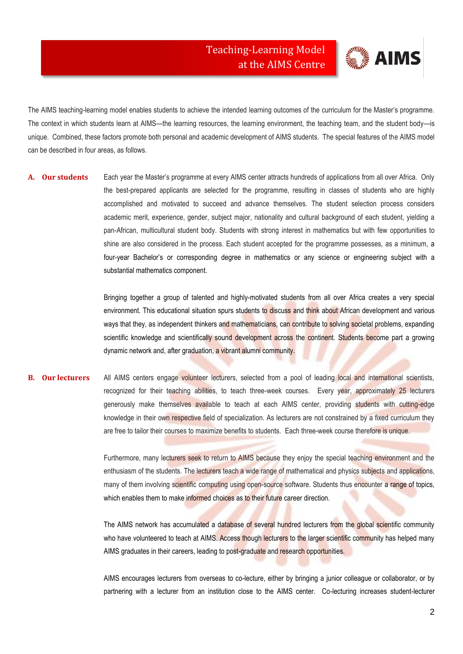

The AIMS teaching-learning model enables students to achieve the intended learning outcomes of the curriculum for the Master's programme. The context in which students learn at AIMS—the learning resources, the learning environment, the teaching team, and the student body—is unique. Combined, these factors promote both personal and academic development of AIMS students. The special features of the AIMS model can be described in four areas, as follows.

**A. Our students** Each year the Master's programme at every AIMS center attracts hundreds of applications from all over Africa. Only the best-prepared applicants are selected for the programme, resulting in classes of students who are highly accomplished and motivated to succeed and advance themselves. The student selection process considers academic merit, experience, gender, subject major, nationality and cultural background of each student, yielding a pan-African, multicultural student body. Students with strong interest in mathematics but with few opportunities to shine are also considered in the process. Each student accepted for the programme possesses, as a minimum, a four-year Bachelor's or corresponding degree in mathematics or any science or engineering subject with a substantial mathematics component.

> Bringing together a group of talented and highly-motivated students from all over Africa creates a very special environment. This educational situation spurs students to discuss and think about African development and various ways that they, as independent thinkers and mathematicians, can contribute to solving societal problems, expanding scientific knowledge and scientifically sound development across the continent. Students become part a growing dynamic network and, after graduation, a vibrant alumni community.

**B. Our lecturers** All AIMS centers engage volunteer lecturers, selected from a pool of leading local and international scientists, recognized for their teaching abilities, to teach three-week courses. Every year, approximately 25 lecturers generously make themselves available to teach at each AIMS center, providing students with cutting-edge knowledge in their own respective field of specialization. As lecturers are not constrained by a fixed curriculum they are free to tailor their courses to maximize benefits to students. Each three-week course therefore is unique.

> Furthermore, many lecturers seek to return to AIMS because they enjoy the special teaching environment and the enthusiasm of the students. The lecturers teach a wide range of mathematical and physics subjects and applications, many of them involving scientific computing using open-source software. Students thus encounter a range of topics, which enables them to make informed choices as to their future career direction.

> The AIMS network has accumulated a database of several hundred lecturers from the global scientific community who have volunteered to teach at AIMS. Access though lecturers to the larger scientific community has helped many AIMS graduates in their careers, leading to post-graduate and research opportunities.

> AIMS encourages lecturers from overseas to co-lecture, either by bringing a junior colleague or collaborator, or by partnering with a lecturer from an institution close to the AIMS center. Co-lecturing increases student-lecturer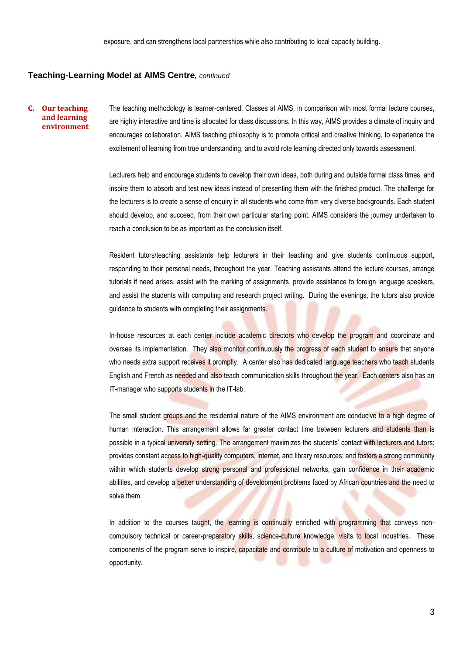#### **Teaching-Learning Model at AIMS Centre***, continued*

#### **C. Our teaching and learning environment**

The teaching methodology is learner-centered. Classes at AIMS, in comparison with most formal lecture courses, are highly interactive and time is allocated for class discussions. In this way, AIMS provides a climate of inquiry and encourages collaboration. AIMS teaching philosophy is to promote critical and creative thinking, to experience the excitement of learning from true understanding, and to avoid rote learning directed only towards assessment.

Lecturers help and encourage students to develop their own ideas, both during and outside formal class times, and inspire them to absorb and test new ideas instead of presenting them with the finished product. The challenge for the lecturers is to create a sense of enquiry in all students who come from very diverse backgrounds. Each student should develop, and succeed, from their own particular starting point. AIMS considers the journey undertaken to reach a conclusion to be as important as the conclusion itself.

Resident tutors/teaching assistants help lecturers in their teaching and give students continuous support, responding to their personal needs, throughout the year. Teaching assistants attend the lecture courses, arrange tutorials if need arises, assist with the marking of assignments, provide assistance to foreign language speakers, and assist the students with computing and research project writing. During the evenings, the tutors also provide guidance to students with completing their assignments.

In-house resources at each center include academic directors who develop the program and coordinate and oversee its implementation. They also monitor continuously the progress of each student to ensure that anyone who needs extra support receives it promptly. A center also has dedicated language teachers who teach students English and French as needed and also teach communication skills throughout the year. Each centers also has an IT-manager who supports students in the IT-lab.

The small student groups and the residential nature of the AIMS environment are conducive to a high degree of human interaction. This arrangement allows far greater contact time between lecturers and students than is possible in a typical university setting. The arrangement maximizes the students' contact with lecturers and tutors; provides constant access to high-quality computers, internet, and library resources; and fosters a strong community within which students develop strong personal and professional networks, gain confidence in their academic abilities, and develop a better understanding of development problems faced by African countries and the need to solve them.

In addition to the courses taught, the learning is continually enriched with programming that conveys noncompulsory technical or career-preparatory skills, science-culture knowledge, visits to local industries. These components of the program serve to inspire, capacitate and contribute to a culture of motivation and openness to opportunity.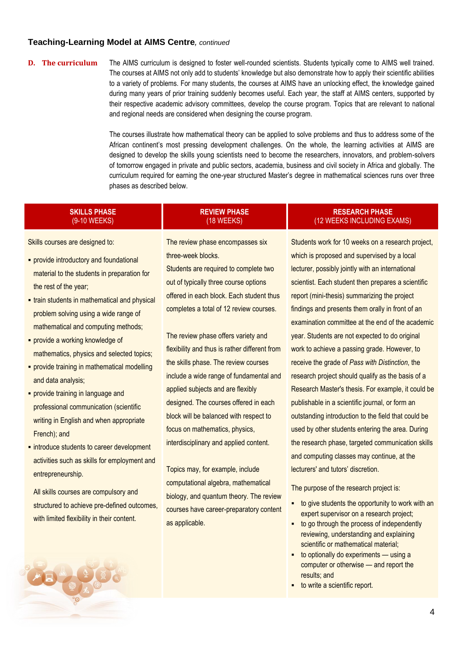# **Teaching-Learning Model at AIMS Centre***, continued*

**D. The curriculum** The AIMS curriculum is designed to foster well-rounded scientists. Students typically come to AIMS well trained. The courses at AIMS not only add to students' knowledge but also demonstrate how to apply their scientific abilities to a variety of problems. For many students, the courses at AIMS have an unlocking effect, the knowledge gained during many years of prior training suddenly becomes useful. Each year, the staff at AIMS centers, supported by their respective academic advisory committees, develop the course program. Topics that are relevant to national and regional needs are considered when designing the course program.

> The courses illustrate how mathematical theory can be applied to solve problems and thus to address some of the African continent's most pressing development challenges. On the whole, the learning activities at AIMS are designed to develop the skills young scientists need to become the researchers, innovators, and problem-solvers of tomorrow engaged in private and public sectors, academia, business and civil society in Africa and globally. The curriculum required for earning the one-year structured Master's degree in mathematical sciences runs over three phases as described below.

# **SKILLS PHASE**  (9-10 WEEKS)

# (18 WEEKS)

Skills courses are designed to:

- **provide introductory and foundational** material to the students in preparation for the rest of the year;
- **-** train students in mathematical and physical problem solving using a wide range of mathematical and computing methods;
- **Provide a working knowledge of** mathematics, physics and selected topics;
- **provide training in mathematical modelling** and data analysis;
- **Provide training in language and** professional communication (scientific writing in English and when appropriate French); and
- **·** introduce students to career development activities such as skills for employment and entrepreneurship.

All skills courses are compulsory and structured to achieve pre-defined outcomes, with limited flexibility in their content.

The review phase encompasses six three-week blocks. Students are required to complete two

**REVIEW PHASE** 

out of typically three course options offered in each block. Each student thus completes a total of 12 review courses.

The review phase offers variety and flexibility and thus is rather different from the skills phase. The review courses include a wide range of fundamental and applied subjects and are flexibly designed. The courses offered in each block will be balanced with respect to focus on mathematics, physics, interdisciplinary and applied content.

Topics may, for example, include computational algebra, mathematical biology, and quantum theory. The review courses have career-preparatory content as applicable.

# **RESEARCH PHASE**  (12 WEEKS INCLUDING EXAMS)

Students work for 10 weeks on a research project, which is proposed and supervised by a local lecturer, possibly jointly with an international scientist. Each student then prepares a scientific report (mini-thesis) summarizing the project findings and presents them orally in front of an examination committee at the end of the academic year. Students are not expected to do original work to achieve a passing grade. However, to receive the grade of *Pass with Distinction*, the research project should qualify as the basis of a Research Master's thesis. For example, it could be publishable in a scientific journal, or form an outstanding introduction to the field that could be used by other students entering the area. During the research phase, targeted communication skills and computing classes may continue, at the lecturers' and tutors' discretion.

The purpose of the research project is:

- $\blacksquare$  to give students the opportunity to work with an expert supervisor on a research project;
- to go through the process of independently reviewing, understanding and explaining scientific or mathematical material;
- to optionally do experiments using a computer or otherwise — and report the results; and
- to write a scientific report.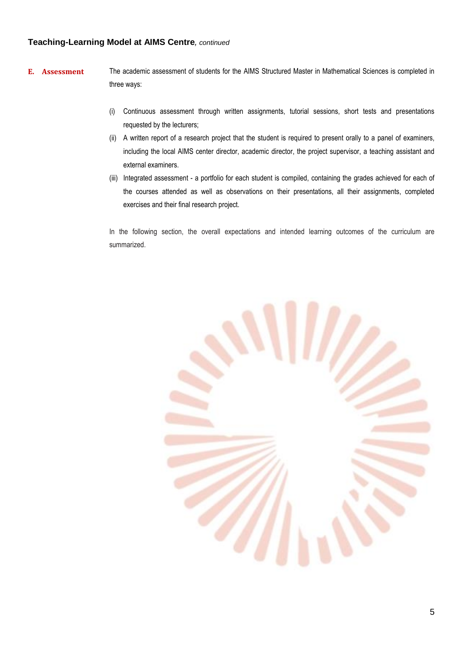# **Teaching-Learning Model at AIMS Centre***, continued*

- **E. Assessment** The academic assessment of students for the AIMS Structured Master in Mathematical Sciences is completed in three ways:
	- (i) Continuous assessment through written assignments, tutorial sessions, short tests and presentations requested by the lecturers;
	- (ii) A written report of a research project that the student is required to present orally to a panel of examiners, including the local AIMS center director, academic director, the project supervisor, a teaching assistant and external examiners.
	- (iii) Integrated assessment a portfolio for each student is compiled, containing the grades achieved for each of the courses attended as well as observations on their presentations, all their assignments, completed exercises and their final research project.

In the following section, the overall expectations and intended learning outcomes of the curriculum are summarized.

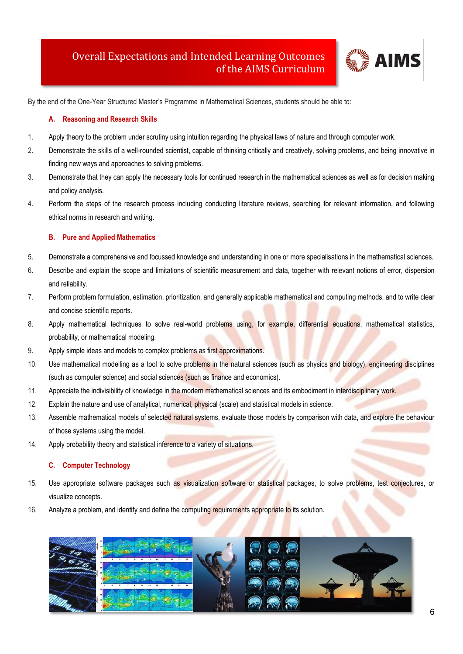# Overall Expectations and Intended Learning Outcomes of the AIMS Curriculum



By the end of the One-Year Structured Master's Programme in Mathematical Sciences, students should be able to:

# **A. Reasoning and Research Skills**

- 1. Apply theory to the problem under scrutiny using intuition regarding the physical laws of nature and through computer work.
- 2. Demonstrate the skills of a well-rounded scientist, capable of thinking critically and creatively, solving problems, and being innovative in finding new ways and approaches to solving problems.
- 3. Demonstrate that they can apply the necessary tools for continued research in the mathematical sciences as well as for decision making and policy analysis.
- 4. Perform the steps of the research process including conducting literature reviews, searching for relevant information, and following ethical norms in research and writing.

## **B. Pure and Applied Mathematics**

- 5. Demonstrate a comprehensive and focussed knowledge and understanding in one or more specialisations in the mathematical sciences.
- 6. Describe and explain the scope and limitations of scientific measurement and data, together with relevant notions of error, dispersion and reliability.
- 7. Perform problem formulation, estimation, prioritization, and generally applicable mathematical and computing methods, and to write clear and concise scientific reports.
- 8. Apply mathematical techniques to solve real-world problems using, for example, differential equations, mathematical statistics, probability, or mathematical modeling.
- 9. Apply simple ideas and models to complex problems as first approximations.
- 10. Use mathematical modelling as a tool to solve problems in the natural sciences (such as physics and biology), engineering disciplines (such as computer science) and social sciences (such as finance and economics).
- 11. Appreciate the indivisibility of knowledge in the modern mathematical sciences and its embodiment in interdisciplinary work.
- 12. Explain the nature and use of analytical, numerical, physical (scale) and statistical models in science.
- 13. Assemble mathematical models of selected natural systems, evaluate those models by comparison with data, and explore the behaviour of those systems using the model.
- 14. Apply probability theory and statistical inference to a variety of situations.

## **C. Computer Technology**

- 15. Use appropriate software packages such as visualization software or statistical packages, to solve problems, test conjectures, or visualize concepts.
- 16. Analyze a problem, and identify and define the computing requirements appropriate to its solution.